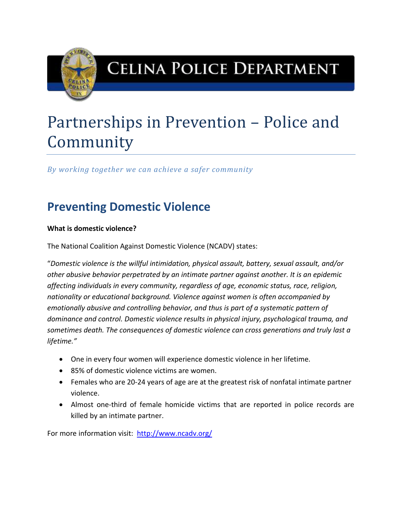

## **CELINA POLICE DEPARTMENT**

# Partnerships in Prevention – Police and Community

*By working together we can achieve a safer community*

## **Preventing Domestic Violence**

#### **What is domestic violence?**

The National Coalition Against Domestic Violence (NCADV) states:

"*Domestic violence is the willful intimidation, physical assault, battery, sexual assault, and/or other abusive behavior perpetrated by an intimate partner against another. It is an epidemic affecting individuals in every community, regardless of age, economic status, race, religion, nationality or educational background. Violence against women is often accompanied by emotionally abusive and controlling behavior, and thus is part of a systematic pattern of dominance and control. Domestic violence results in physical injury, psychological trauma, and sometimes death. The consequences of domestic violence can cross generations and truly last a lifetime."*

- One in every four women will experience domestic violence in her lifetime.
- 85% of domestic violence victims are women.
- Females who are 20-24 years of age are at the greatest risk of nonfatal intimate partner violence.
- Almost one-third of female homicide victims that are reported in police records are killed by an intimate partner.

For more information visit: <http://www.ncadv.org/>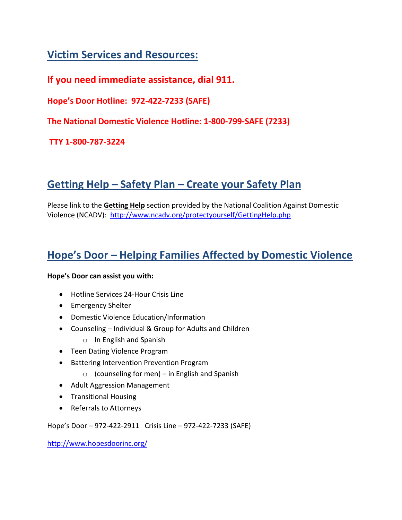### **Victim Services and Resources:**

**If you need immediate assistance, dial 911.**

**Hope's Door Hotline: 972-422-7233 (SAFE)**

**The National Domestic Violence Hotline: 1-800-799-SAFE (7233)**

**TTY 1-800-787-3224**

## **Getting Help – Safety Plan – Create your Safety Plan**

Please link to the **Getting Help** section provided by the National Coalition Against Domestic Violence (NCADV): <http://www.ncadv.org/protectyourself/GettingHelp.php>

### **Hope's Door – Helping Families Affected by Domestic Violence**

#### **Hope's Door can assist you with:**

- Hotline Services 24-Hour Crisis Line
- Emergency Shelter
- Domestic Violence Education/Information
- Counseling Individual & Group for Adults and Children
	- o In English and Spanish
- Teen Dating Violence Program
- Battering Intervention Prevention Program
	- $\circ$  (counseling for men) in English and Spanish
- Adult Aggression Management
- **•** Transitional Housing
- Referrals to Attorneys

Hope's Door – 972-422-2911 Crisis Line – 972-422-7233 (SAFE)

<http://www.hopesdoorinc.org/>